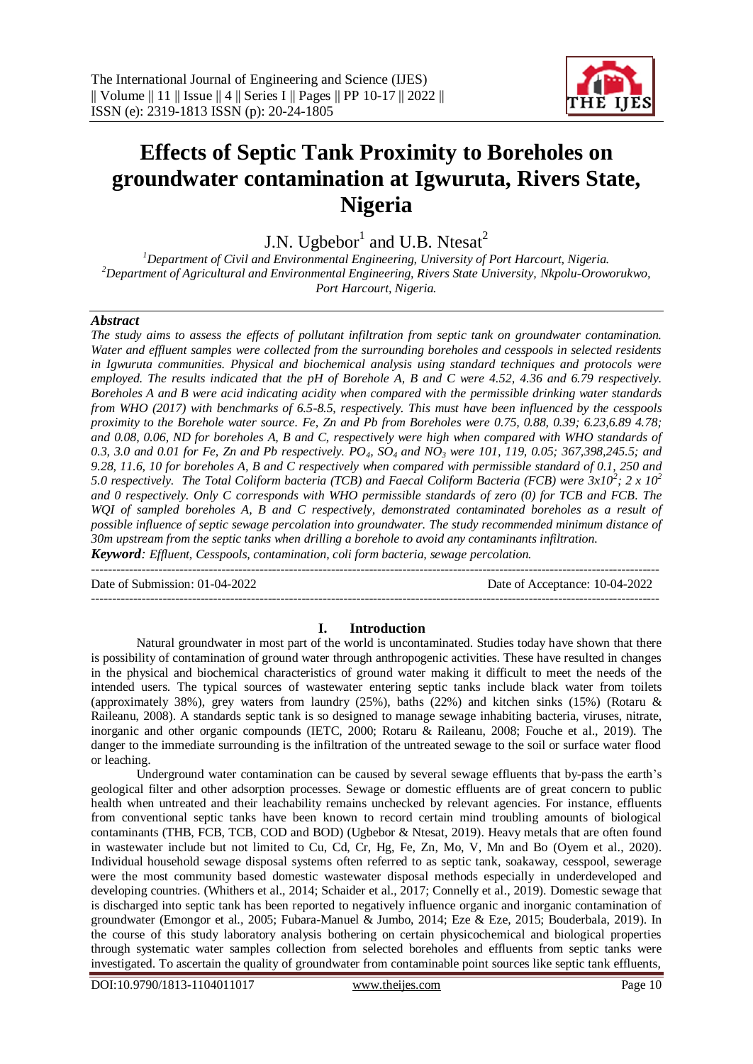

# **Effects of Septic Tank Proximity to Boreholes on groundwater contamination at Igwuruta, Rivers State, Nigeria**

J.N. Ugbebor<sup>1</sup> and U.B. Ntesat<sup>2</sup>

*<sup>1</sup>Department of Civil and Environmental Engineering, University of Port Harcourt, Nigeria. <sup>2</sup>Department of Agricultural and Environmental Engineering, Rivers State University, Nkpolu-Oroworukwo, Port Harcourt, Nigeria.*

#### *Abstract*

*The study aims to assess the effects of pollutant infiltration from septic tank on groundwater contamination. Water and effluent samples were collected from the surrounding boreholes and cesspools in selected residents in Igwuruta communities. Physical and biochemical analysis using standard techniques and protocols were employed. The results indicated that the pH of Borehole A, B and C were 4.52, 4.36 and 6.79 respectively. Boreholes A and B were acid indicating acidity when compared with the permissible drinking water standards from WHO (2017) with benchmarks of 6.5-8.5, respectively. This must have been influenced by the cesspools proximity to the Borehole water source. Fe, Zn and Pb from Boreholes were 0.75, 0.88, 0.39; 6.23,6.89 4.78; and 0.08, 0.06, ND for boreholes A, B and C, respectively were high when compared with WHO standards of 0.3, 3.0 and 0.01 for Fe, Zn and Pb respectively. PO4, SO<sup>4</sup> and NO<sup>3</sup> were 101, 119, 0.05; 367,398,245.5; and 9.28, 11.6, 10 for boreholes A, B and C respectively when compared with permissible standard of 0.1, 250 and 5.0 respectively. The Total Coliform bacteria (TCB) and Faecal Coliform Bacteria (FCB) were 3x10<sup>2</sup> ; 2 x 10<sup>2</sup> and 0 respectively. Only C corresponds with WHO permissible standards of zero (0) for TCB and FCB. The WQI of sampled boreholes A, B and C respectively, demonstrated contaminated boreholes as a result of possible influence of septic sewage percolation into groundwater. The study recommended minimum distance of 30m upstream from the septic tanks when drilling a borehole to avoid any contaminants infiltration. Keyword: Effluent, Cesspools, contamination, coli form bacteria, sewage percolation.* 

Date of Submission: 01-04-2022 Date of Acceptance: 10-04-2022

# --------------------------------------------------------------------------------------------------------------------------------------- **I. Introduction**

 $-1\leq i\leq n-1\leq n-1\leq n-1\leq n-1\leq n-1\leq n-1\leq n-1\leq n-1\leq n-1\leq n-1\leq n-1\leq n-1\leq n-1\leq n-1\leq n-1\leq n-1\leq n-1\leq n-1\leq n-1\leq n-1\leq n-1\leq n-1\leq n-1\leq n-1\leq n-1\leq n-1\leq n-1\leq n-1\leq n-1\leq n-1\leq n-1\leq n-1\leq n-1\leq n-1\leq n-1\leq n$ 

Natural groundwater in most part of the world is uncontaminated. Studies today have shown that there is possibility of contamination of ground water through anthropogenic activities. These have resulted in changes in the physical and biochemical characteristics of ground water making it difficult to meet the needs of the intended users. The typical sources of wastewater entering septic tanks include black water from toilets (approximately 38%), grey waters from laundry (25%), baths (22%) and kitchen sinks (15%) (Rotaru & Raileanu, 2008). A standards septic tank is so designed to manage sewage inhabiting bacteria, viruses, nitrate, inorganic and other organic compounds (IETC, 2000; Rotaru & Raileanu, 2008; Fouche et al., 2019). The danger to the immediate surrounding is the infiltration of the untreated sewage to the soil or surface water flood or leaching.

Underground water contamination can be caused by several sewage effluents that by-pass the earth's geological filter and other adsorption processes. Sewage or domestic effluents are of great concern to public health when untreated and their leachability remains unchecked by relevant agencies. For instance, effluents from conventional septic tanks have been known to record certain mind troubling amounts of biological contaminants (THB, FCB, TCB, COD and BOD) (Ugbebor & Ntesat, 2019). Heavy metals that are often found in wastewater include but not limited to Cu, Cd, Cr, Hg, Fe, Zn, Mo, V, Mn and Bo (Oyem et al., 2020). Individual household sewage disposal systems often referred to as septic tank, soakaway, cesspool, sewerage were the most community based domestic wastewater disposal methods especially in underdeveloped and developing countries. (Whithers et al., 2014; Schaider et al., 2017; Connelly et al., 2019). Domestic sewage that is discharged into septic tank has been reported to negatively influence organic and inorganic contamination of groundwater (Emongor et al., 2005; Fubara-Manuel & Jumbo, 2014; Eze & Eze, 2015; Bouderbala, 2019). In the course of this study laboratory analysis bothering on certain physicochemical and biological properties through systematic water samples collection from selected boreholes and effluents from septic tanks were investigated. To ascertain the quality of groundwater from contaminable point sources like septic tank effluents,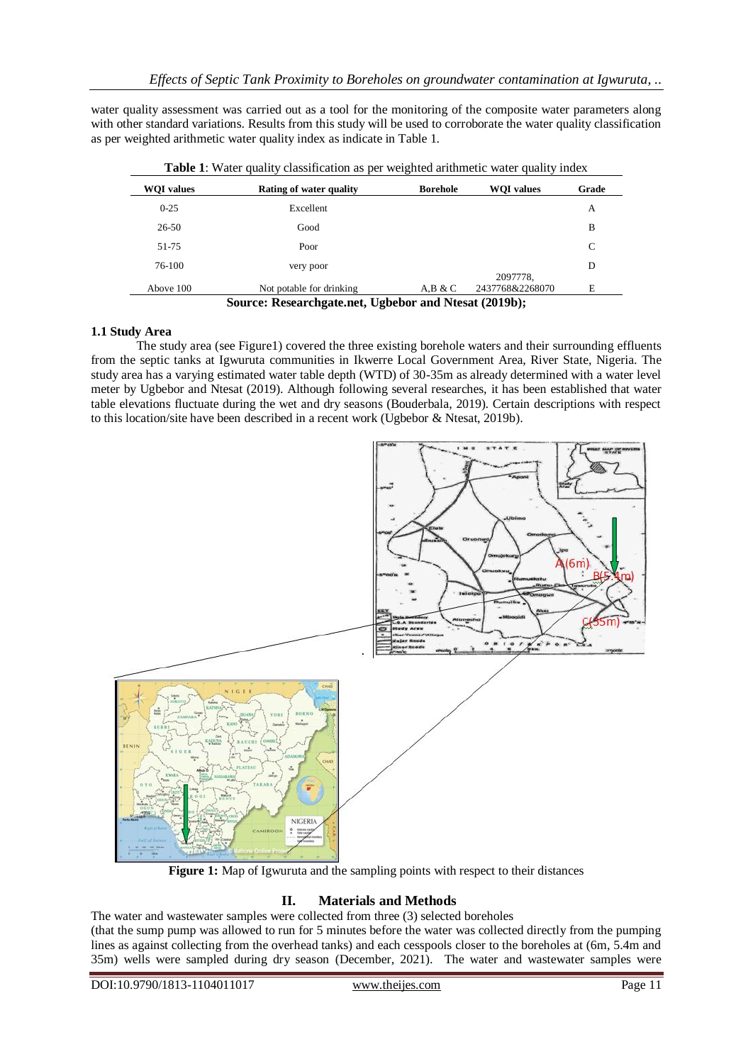water quality assessment was carried out as a tool for the monitoring of the composite water parameters along with other standard variations. Results from this study will be used to corroborate the water quality classification as per weighted arithmetic water quality index as indicate in Table 1.

| <b>WOI</b> values | Rating of water quality  | <b>Borehole</b> | <b>WOI</b> values | Grade |
|-------------------|--------------------------|-----------------|-------------------|-------|
| $0 - 25$          | Excellent                |                 |                   | А     |
| 26-50             | Good                     |                 |                   | B     |
| 51-75             | Poor                     |                 |                   | C     |
| 76-100            | very poor                |                 | 2097778.          | D     |
| Above 100         | Not potable for drinking | A.B & C         | 2437768&2268070   | Ε     |

**Table 1**: Water quality classification as per weighted arithmetic water quality index

# **1.1 Study Area**

The study area (see Figure1) covered the three existing borehole waters and their surrounding effluents from the septic tanks at Igwuruta communities in Ikwerre Local Government Area, River State, Nigeria. The study area has a varying estimated water table depth (WTD) of 30-35m as already determined with a water level meter by Ugbebor and Ntesat (2019). Although following several researches, it has been established that water table elevations fluctuate during the wet and dry seasons (Bouderbala, 2019). Certain descriptions with respect to this location/site have been described in a recent work (Ugbebor & Ntesat, 2019b).



**Figure 1:** Map of Igwuruta and the sampling points with respect to their distances

# **II. Materials and Methods**

The water and wastewater samples were collected from three (3) selected boreholes

(that the sump pump was allowed to run for 5 minutes before the water was collected directly from the pumping lines as against collecting from the overhead tanks) and each cesspools closer to the boreholes at (6m, 5.4m and 35m) wells were sampled during dry season (December, 2021). The water and wastewater samples were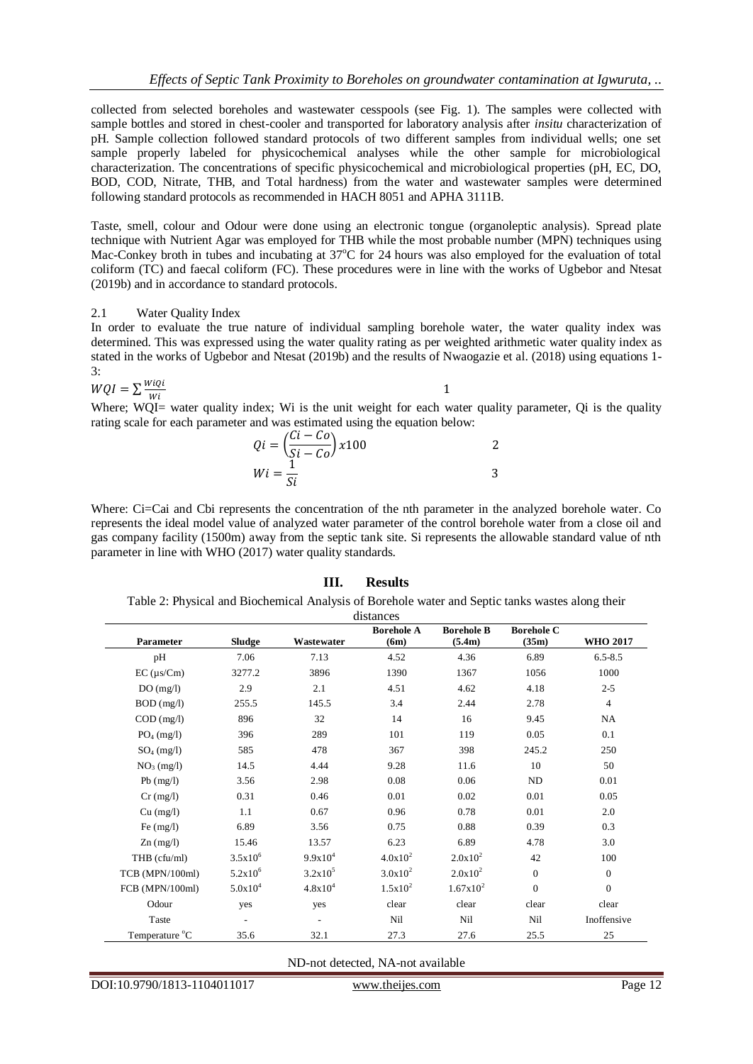collected from selected boreholes and wastewater cesspools (see Fig. 1). The samples were collected with sample bottles and stored in chest-cooler and transported for laboratory analysis after *insitu* characterization of pH. Sample collection followed standard protocols of two different samples from individual wells; one set sample properly labeled for physicochemical analyses while the other sample for microbiological characterization. The concentrations of specific physicochemical and microbiological properties (pH, EC, DO, BOD, COD, Nitrate, THB, and Total hardness) from the water and wastewater samples were determined following standard protocols as recommended in HACH 8051 and APHA 3111B.

Taste, smell, colour and Odour were done using an electronic tongue (organoleptic analysis). Spread plate technique with Nutrient Agar was employed for THB while the most probable number (MPN) techniques using Mac-Conkey broth in tubes and incubating at  $37^{\circ}$ C for 24 hours was also employed for the evaluation of total coliform (TC) and faecal coliform (FC). These procedures were in line with the works of Ugbebor and Ntesat (2019b) and in accordance to standard protocols.

#### 2.1 Water Quality Index

In order to evaluate the true nature of individual sampling borehole water, the water quality index was determined. This was expressed using the water quality rating as per weighted arithmetic water quality index as stated in the works of Ugbebor and Ntesat (2019b) and the results of Nwaogazie et al. (2018) using equations 1- 3:

$$
WQI = \sum \frac{WiQi}{Wi} \tag{1}
$$

Where; WQI= water quality index; Wi is the unit weight for each water quality parameter, Qi is the quality Where; rating scale for each parameter and was estimated using the equation below:

$$
Qi = \left(\frac{Ci - Co}{Si - Co}\right) \times 100
$$
  

$$
Wi = \frac{1}{Si}
$$

Where: Ci=Cai and Cbi represents the concentration of the nth parameter in the analyzed borehole water. Co represents the ideal model value of analyzed water parameter of the control borehole water from a close oil and gas company facility (1500m) away from the septic tank site. Si represents the allowable standard value of nth parameter in line with WHO (2017) water quality standards.

# **III. Results**

Table 2: Physical and Biochemical Analysis of Borehole water and Septic tanks wastes along their distances

|                                        |              |              | <b>Borehole A</b> | <b>Borehole B</b> | <b>Borehole C</b> |                 |  |  |  |  |  |
|----------------------------------------|--------------|--------------|-------------------|-------------------|-------------------|-----------------|--|--|--|--|--|
| Parameter                              | Sludge       | Wastewater   | (6m)              | (5.4m)            | (35m)             | <b>WHO 2017</b> |  |  |  |  |  |
| pH                                     | 7.06         | 7.13         | 4.52              | 4.36              | 6.89              | $6.5 - 8.5$     |  |  |  |  |  |
| $EC$ ( $\mu$ s/Cm)                     | 3277.2       | 3896         | 1390              | 1367              | 1056              | 1000            |  |  |  |  |  |
| DO(mg/l)                               | 2.9          | 2.1          | 4.51              | 4.62              | 4.18              | $2 - 5$         |  |  |  |  |  |
| $BOD$ (mg/l)                           | 255.5        | 145.5        | 3.4               | 2.44              | 2.78              | $\overline{4}$  |  |  |  |  |  |
| $COD$ (mg/l)                           | 896          | 32           | 14                | 16                | 9.45              | NA              |  |  |  |  |  |
| $PO4$ (mg/l)                           | 396          | 289          | 101               | 119               | 0.05              | 0.1             |  |  |  |  |  |
| $SO_4$ (mg/l)                          | 585          | 478          | 367               | 398               | 245.2             | 250             |  |  |  |  |  |
| NO <sub>3</sub> (mg/l)                 | 14.5         | 4.44         | 9.28              | 11.6              | 10                | 50              |  |  |  |  |  |
| $Pb$ (mg/l)                            | 3.56         | 2.98         | 0.08              | 0.06              | ND                | 0.01            |  |  |  |  |  |
| $Cr$ (mg/l)                            | 0.31         | 0.46         | 0.01              | 0.02              | 0.01              | 0.05            |  |  |  |  |  |
| Cu (mg/l)                              | 1.1          | 0.67         | 0.96              | 0.78              | 0.01              | 2.0             |  |  |  |  |  |
| Fe $(mg/l)$                            | 6.89         | 3.56         | 0.75              | 0.88              | 0.39              | 0.3             |  |  |  |  |  |
| $\text{Zn} \left( \text{mg/l} \right)$ | 15.46        | 13.57        | 6.23              | 6.89              | 4.78              | 3.0             |  |  |  |  |  |
| THB (cfu/ml)                           | $3.5x10^{6}$ | $9.9x10^4$   | $4.0x10^2$        | $2.0x10^2$        | 42                | 100             |  |  |  |  |  |
| TCB (MPN/100ml)                        | $5.2x10^{6}$ | $3.2x10^5$   | $3.0x10^2$        | $2.0x10^2$        | $\Omega$          | $\mathbf{0}$    |  |  |  |  |  |
| FCB (MPN/100ml)                        | $5.0x10^4$   | $4.8x10^{4}$ | $1.5x10^2$        | $1.67x10^2$       | $\mathbf{0}$      | $\theta$        |  |  |  |  |  |
| Odour                                  | yes          | yes          | clear             | clear             | clear             | clear           |  |  |  |  |  |
| Taste                                  |              |              | Nil               | Nil               | Nil               | Inoffensive     |  |  |  |  |  |
| Temperature °C                         | 35.6         | 32.1         | 27.3              | 27.6              | 25.5              | 25              |  |  |  |  |  |

ND-not detected, NA-not available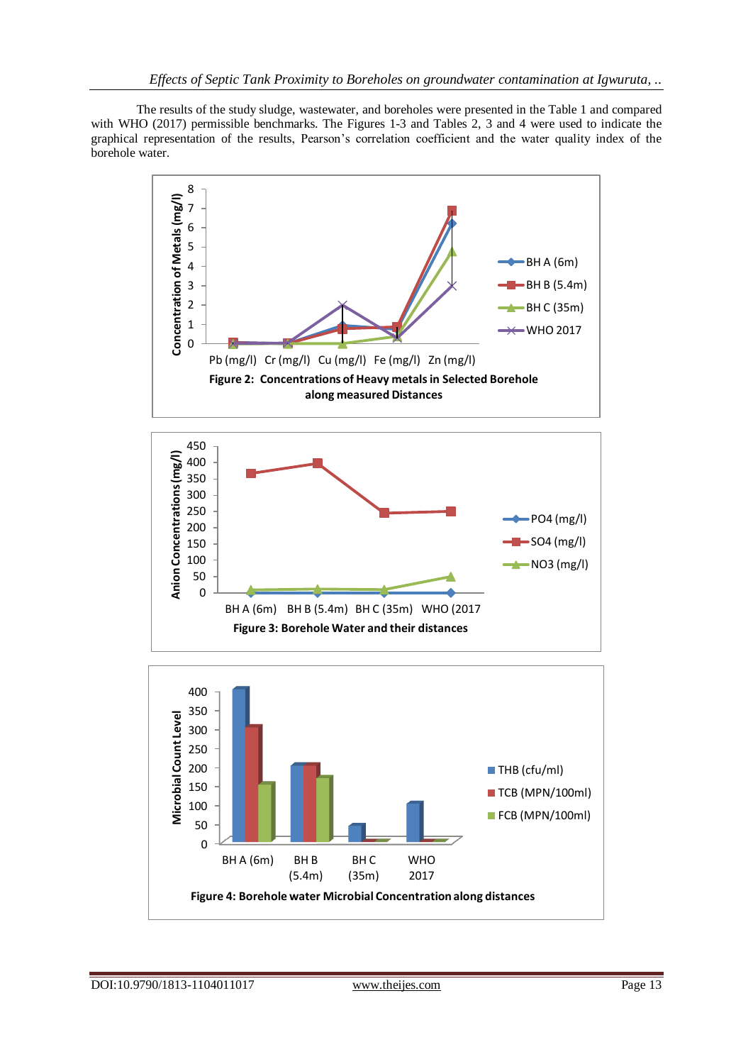The results of the study sludge, wastewater, and boreholes were presented in the Table 1 and compared with WHO (2017) permissible benchmarks. The Figures 1-3 and Tables 2, 3 and 4 were used to indicate the graphical representation of the results, Pearson's correlation coefficient and the water quality index of the borehole water.





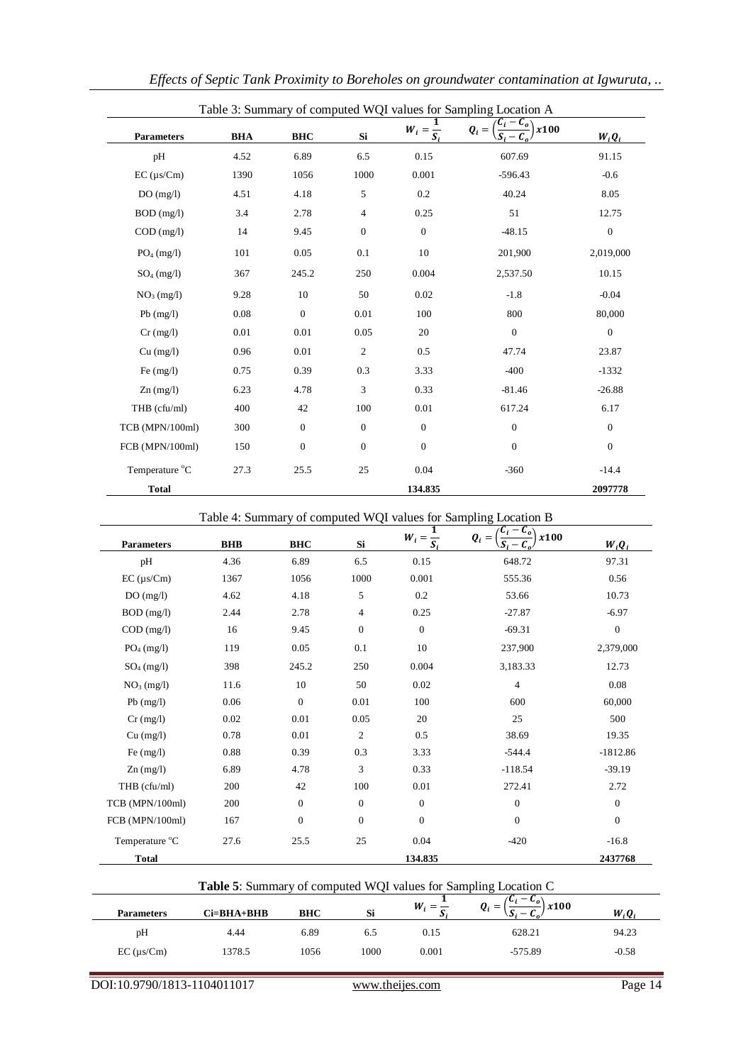| <b>Parameters</b>   | <b>BHA</b> | <b>BHC</b>       | Si               | $W_i = \frac{1}{S_i}$ | Table 3: Summary of computed WQI values for Sampling Location A<br>$\mathcal{L}_{o}$<br>x100<br>$Q_i =$ | $W_iQ_i$     |
|---------------------|------------|------------------|------------------|-----------------------|---------------------------------------------------------------------------------------------------------|--------------|
| pH                  | 4.52       | 6.89             | 6.5              | 0.15                  | 607.69                                                                                                  | 91.15        |
| $EC$ ( $\mu s/Cm$ ) | 1390       | 1056             | 1000             | 0.001                 | $-596.43$                                                                                               | $-0.6$       |
| DO(mg/l)            | 4.51       | 4.18             | 5                | 0.2                   | 40.24                                                                                                   | 8.05         |
| $BOD$ (mg/l)        | 3.4        | 2.78             | $\overline{4}$   | 0.25                  | 51                                                                                                      | 12.75        |
| $COD$ (mg/l)        | 14         | 9.45             | $\boldsymbol{0}$ | $\mathbf{0}$          | $-48.15$                                                                                                | $\mathbf{0}$ |
| $PO4$ (mg/l)        | 101        | 0.05             | 0.1              | 10                    | 201,900                                                                                                 | 2,019,000    |
| $SO_4$ (mg/l)       | 367        | 245.2            | 250              | 0.004                 | 2,537.50                                                                                                | 10.15        |
| $NO3$ (mg/l)        | 9.28       | 10               | 50               | 0.02                  | $-1.8$                                                                                                  | $-0.04$      |
| $Pb$ (mg/l)         | 0.08       | $\boldsymbol{0}$ | 0.01             | 100                   | 800                                                                                                     | 80,000       |
| $Cr$ (mg/l)         | 0.01       | 0.01             | 0.05             | 20                    | $\boldsymbol{0}$                                                                                        | $\mathbf{0}$ |
| $Cu$ (mg/l)         | 0.96       | 0.01             | $\overline{c}$   | 0.5                   | 47.74                                                                                                   | 23.87        |
| Fe $(mg/l)$         | 0.75       | 0.39             | 0.3              | 3.33                  | $-400$                                                                                                  | $-1332$      |
| $Zn$ (mg/l)         | 6.23       | 4.78             | 3                | 0.33                  | $-81.46$                                                                                                | $-26.88$     |
| THB (cfu/ml)        | 400        | 42               | 100              | 0.01                  | 617.24                                                                                                  | 6.17         |
| TCB (MPN/100ml)     | 300        | $\mathbf{0}$     | $\mathbf{0}$     | $\boldsymbol{0}$      | $\boldsymbol{0}$                                                                                        | $\mathbf{0}$ |
| FCB (MPN/100ml)     | 150        | $\boldsymbol{0}$ | $\mathbf{0}$     | $\mathbf{0}$          | $\boldsymbol{0}$                                                                                        | $\mathbf{0}$ |
| Temperature °C      | 27.3       | 25.5             | 25               | 0.04                  | $-360$                                                                                                  | $-14.4$      |
| <b>Total</b>        |            |                  |                  | 134.835               |                                                                                                         | 2097778      |

*Effects of Septic Tank Proximity to Boreholes on groundwater contamination at Igwuruta, ..*

Table 4: Summary of computed WQI values for Sampling Location B

| <b>Parameters</b> | <b>BHB</b> | <b>BHC</b>   | Si             | 1<br>$W_i = \frac{\overline{S_i}}{S_i}$ | $\mathcal{C}_o$<br>x100<br>$Q_i =$ | $W_i Q_i$    |
|-------------------|------------|--------------|----------------|-----------------------------------------|------------------------------------|--------------|
| pH                | 4.36       | 6.89         | 6.5            | 0.15                                    | 648.72                             | 97.31        |
| $EC (\mu s/Cm)$   | 1367       | 1056         | 1000           | 0.001                                   | 555.36                             | 0.56         |
| DO(mg/l)          | 4.62       | 4.18         | 5              | 0.2                                     | 53.66                              | 10.73        |
| $BOD$ (mg/l)      | 2.44       | 2.78         | $\overline{4}$ | 0.25                                    | $-27.87$                           | $-6.97$      |
| COD (mg/l)        | 16         | 9.45         | $\mathbf{0}$   | $\mathbf{0}$                            | $-69.31$                           | $\theta$     |
| $PO4$ (mg/l)      | 119        | 0.05         | 0.1            | 10                                      | 237,900                            | 2,379,000    |
| $SO_4$ (mg/l)     | 398        | 245.2        | 250            | 0.004                                   | 3,183.33                           | 12.73        |
| $NO3$ (mg/l)      | 11.6       | 10           | 50             | 0.02                                    | $\overline{4}$                     | 0.08         |
| $Pb$ (mg/l)       | 0.06       | $\Omega$     | 0.01           | 100                                     | 600                                | 60,000       |
| $Cr$ (mg/l)       | 0.02       | 0.01         | 0.05           | 20                                      | 25                                 | 500          |
| Cu (mg/l)         | 0.78       | 0.01         | 2              | 0.5                                     | 38.69                              | 19.35        |
| Fe $(mg/l)$       | 0.88       | 0.39         | 0.3            | 3.33                                    | $-544.4$                           | $-1812.86$   |
| $Zn$ (mg/l)       | 6.89       | 4.78         | 3              | 0.33                                    | $-118.54$                          | $-39.19$     |
| THB $(cfu/ml)$    | 200        | 42           | 100            | 0.01                                    | 272.41                             | 2.72         |
| TCB (MPN/100ml)   | 200        | $\mathbf{0}$ | $\mathbf{0}$   | $\mathbf{0}$                            | $\mathbf{0}$                       | $\mathbf{0}$ |
| FCB (MPN/100ml)   | 167        | $\mathbf{0}$ | $\mathbf{0}$   | $\mathbf{0}$                            | $\boldsymbol{0}$                   | $\mathbf{0}$ |
| Temperature °C    | 27.6       | 25.5         | 25             | 0.04                                    | $-420$                             | $-16.8$      |
| <b>Total</b>      |            |              |                | 134.835                                 |                                    | 2437768      |

|                        | <b>Table 5:</b> Summary of computed WQI values for Sampling Location C |            |      |       |                                              |          |  |  |  |  |  |  |  |
|------------------------|------------------------------------------------------------------------|------------|------|-------|----------------------------------------------|----------|--|--|--|--|--|--|--|
| <b>Parameters</b>      | Ci=BHA+BHB                                                             | <b>BHC</b> | Si   |       | $\mathbf{u}_n$<br>x100<br>$\boldsymbol{v}$ = | $W_iO_i$ |  |  |  |  |  |  |  |
| pH                     | 4.44                                                                   | 6.89       | 6.5  | 0.15  | 628.21                                       | 94.23    |  |  |  |  |  |  |  |
| $EC$ ( $\mu$ s/ $C$ m) | 1378.5                                                                 | 1056       | 1000 | 0.001 | $-575.89$                                    | $-0.58$  |  |  |  |  |  |  |  |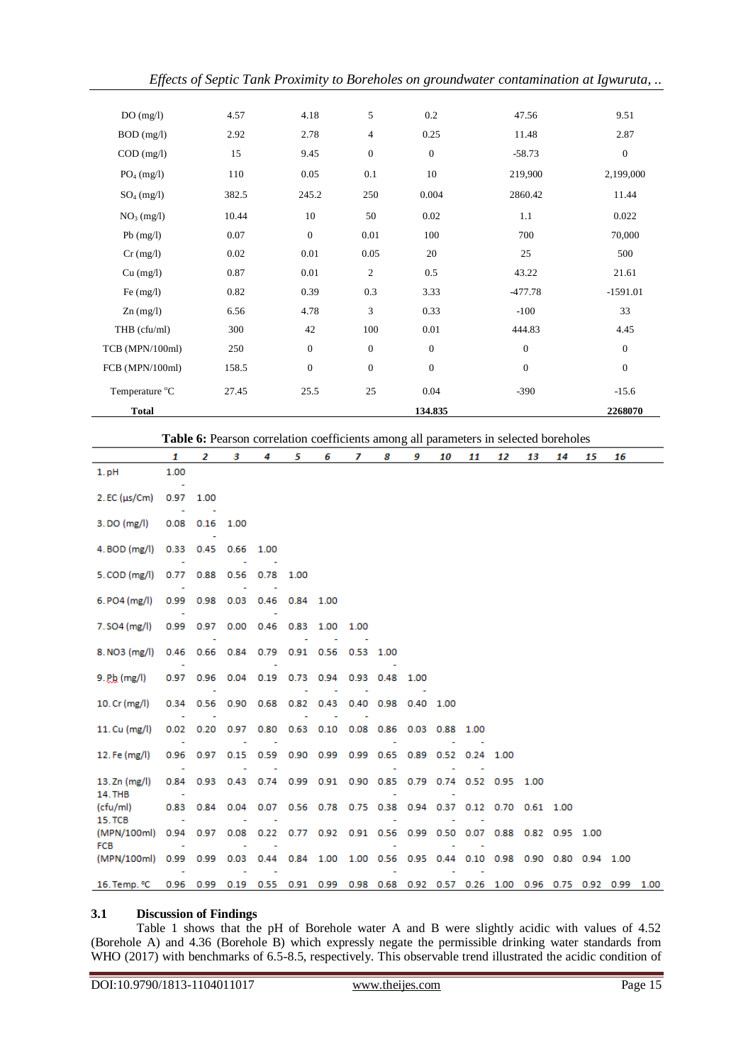| DO(mg/l)        | 4.57  | 4.18             | 5                | 0.2              | 47.56            | 9.51             |
|-----------------|-------|------------------|------------------|------------------|------------------|------------------|
| $BOD$ (mg/l)    | 2.92  | 2.78             | $\overline{4}$   | 0.25             | 11.48            | 2.87             |
| $COD$ (mg/l)    | 15    | 9.45             | $\boldsymbol{0}$ | $\theta$         | $-58.73$         | $\boldsymbol{0}$ |
| $PO4$ (mg/l)    | 110   | 0.05             | 0.1              | 10               | 219,900          | 2,199,000        |
| $SO_4$ (mg/l)   | 382.5 | 245.2            | 250              | 0.004            | 2860.42          | 11.44            |
| $NO3$ (mg/l)    | 10.44 | 10               | 50               | 0.02             | 1.1              | 0.022            |
| $Pb$ (mg/l)     | 0.07  | $\boldsymbol{0}$ | 0.01             | 100              | 700              | 70,000           |
| $Cr$ (mg/l)     | 0.02  | 0.01             | 0.05             | 20               | 25               | 500              |
| Cu (mg/l)       | 0.87  | 0.01             | $\mathfrak{2}$   | 0.5              | 43.22            | 21.61            |
| Fe $(mg/l)$     | 0.82  | 0.39             | 0.3              | 3.33             | $-477.78$        | $-1591.01$       |
| $Zn$ (mg/l)     | 6.56  | 4.78             | 3                | 0.33             | $-100$           | 33               |
| THB (cfu/ml)    | 300   | 42               | 100              | 0.01             | 444.83           | 4.45             |
| TCB (MPN/100ml) | 250   | $\boldsymbol{0}$ | $\boldsymbol{0}$ | $\boldsymbol{0}$ | $\boldsymbol{0}$ | $\boldsymbol{0}$ |
| FCB (MPN/100ml) | 158.5 | $\boldsymbol{0}$ | $\boldsymbol{0}$ | $\mathbf{0}$     | $\mathbf{0}$     | $\boldsymbol{0}$ |
| Temperature °C  | 27.45 | 25.5             | 25               | 0.04             | $-390$           | $-15.6$          |
| <b>Total</b>    |       |                  |                  | 134.835          |                  | 2268070          |
|                 |       |                  |                  |                  |                  |                  |

**Table 6:** Pearson correlation coefficients among all parameters in selected boreholes

|                                | 1         | $\overline{2}$      | 3                 | 4                                                                               | 5           | 6                                                                | $\overline{7}$ | 8                   | 9         | 10 | 11   | 12 | 13 | 14 | 15 | 16 |      |
|--------------------------------|-----------|---------------------|-------------------|---------------------------------------------------------------------------------|-------------|------------------------------------------------------------------|----------------|---------------------|-----------|----|------|----|----|----|----|----|------|
| $1.$ pH                        | 1.00      |                     |                   |                                                                                 |             |                                                                  |                |                     |           |    |      |    |    |    |    |    |      |
| $2.EC$ ( $\mu s/Cm$ )          | 0.97<br>÷ | 1.00                |                   |                                                                                 |             |                                                                  |                |                     |           |    |      |    |    |    |    |    |      |
| $3.$ DO (mg/l)                 |           | $0.08$ $0.16$ 1.00  |                   |                                                                                 |             |                                                                  |                |                     |           |    |      |    |    |    |    |    |      |
| 4. BOD (mg/l)                  | 0.33      | 0.45 0.66           |                   | 1.00                                                                            |             |                                                                  |                |                     |           |    |      |    |    |    |    |    |      |
| $5$ . COD (mg/l)               |           | 0.77 0.88 0.56 0.78 |                   |                                                                                 | 1.00        |                                                                  |                |                     |           |    |      |    |    |    |    |    |      |
| $6. PO4$ (mg/l)                |           | 0.99 0.98 0.03 0.46 |                   |                                                                                 | 0.84 1.00   |                                                                  |                |                     |           |    |      |    |    |    |    |    |      |
| 7. SO4 (mg/l)                  |           | 0.99 0.97 0.00 0.46 |                   |                                                                                 | $0.83$ 1.00 |                                                                  | 1.00           |                     |           |    |      |    |    |    |    |    |      |
| 8. NO3 (mg/l)                  | 0.46      |                     | 0.66 0.84 0.79    |                                                                                 |             | 0.91 0.56                                                        | 0.53 1.00      |                     |           |    |      |    |    |    |    |    |      |
| $9.$ P <sub>k</sub> (mg/l)     |           |                     |                   | 0.97 0.96 0.04 0.19 0.73 0.94                                                   |             |                                                                  | 0.93 0.48      |                     | 1.00      |    |      |    |    |    |    |    |      |
| 10. $Cr$ (mg/l)                | 0.34      |                     | 0.56 0.90 0.68    |                                                                                 | $0.82$ 0.43 |                                                                  |                | 0.40 0.98 0.40 1.00 |           |    |      |    |    |    |    |    |      |
| 11. $Cu$ (mg/l)                | 0.02      |                     | $0.20 \quad 0.97$ |                                                                                 |             | 0.80 0.63 0.10 0.08 0.86                                         |                |                     | 0.03 0.88 |    | 1.00 |    |    |    |    |    |      |
| 12. Fe (mg/l)                  |           |                     |                   | 0.96 0.97 0.15 0.59 0.90 0.99 0.99 0.65 0.89 0.52 0.24 1.00                     |             |                                                                  |                |                     |           |    |      |    |    |    |    |    |      |
| 13. Zn $(mg/l)$<br>14. THB     |           |                     |                   | 0.84 0.93 0.43 0.74 0.99 0.91 0.90 0.85 0.79 0.74 0.52 0.95 1.00                |             |                                                                  |                |                     |           |    |      |    |    |    |    |    |      |
| (cfu/ml)                       | 0.83      | 0.84                | 0.04              | 0.07                                                                            |             | 0.56 0.78 0.75 0.38 0.94 0.37 0.12 0.70 0.61 1.00                |                |                     |           |    |      |    |    |    |    |    |      |
| <b>15. TCB</b><br>(MPN/100ml)  |           | 0.94 0.97           | 0.08              | 0.22                                                                            |             | 0.77 0.92 0.91 0.56 0.99 0.50 0.07 0.88 0.82 0.95 1.00           |                |                     |           |    |      |    |    |    |    |    |      |
| <b>FCB</b><br>(MPN/100ml) 0.99 |           | 0.99                | 0.03              |                                                                                 |             | 0.44 0.84 1.00 1.00 0.56 0.95 0.44 0.10 0.98 0.90 0.80 0.94 1.00 |                |                     |           |    |      |    |    |    |    |    |      |
| 16. Temp. °C                   |           |                     |                   | 0.96 0.99 0.19 0.55 0.91 0.99 0.98 0.68 0.92 0.57 0.26 1.00 0.96 0.75 0.92 0.99 |             |                                                                  |                |                     |           |    |      |    |    |    |    |    | 1.00 |

#### **3.1 Discussion of Findings**

Table 1 shows that the pH of Borehole water A and B were slightly acidic with values of 4.52 (Borehole A) and 4.36 (Borehole B) which expressly negate the permissible drinking water standards from WHO (2017) with benchmarks of 6.5-8.5, respectively. This observable trend illustrated the acidic condition of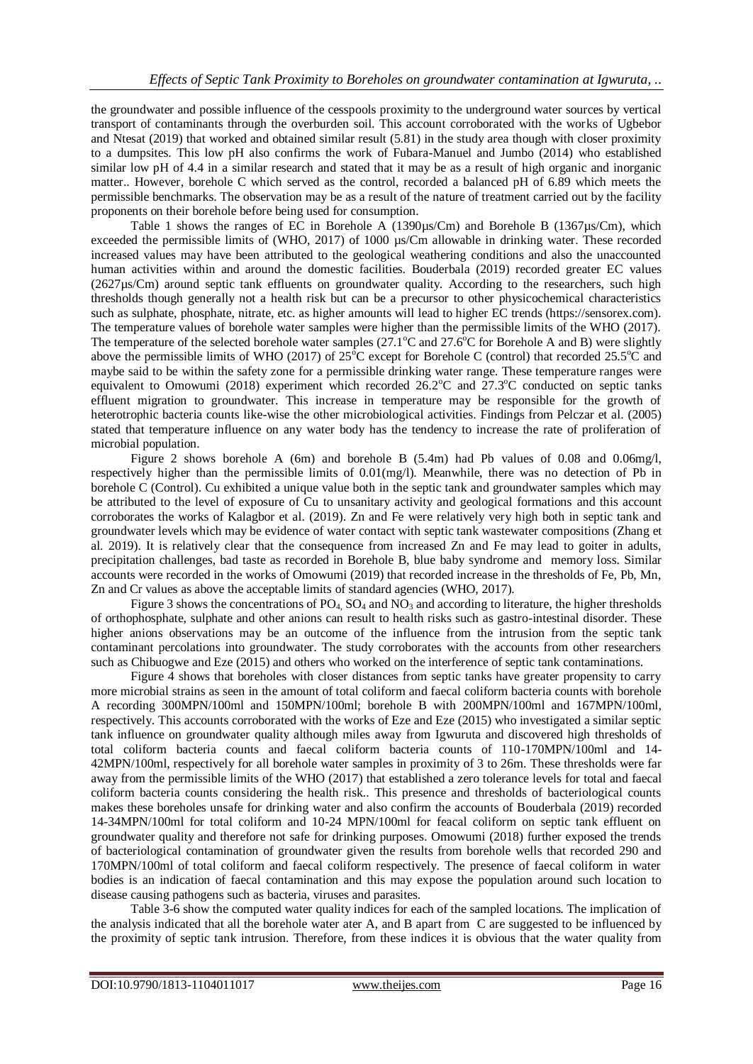the groundwater and possible influence of the cesspools proximity to the underground water sources by vertical transport of contaminants through the overburden soil. This account corroborated with the works of Ugbebor and Ntesat (2019) that worked and obtained similar result (5.81) in the study area though with closer proximity to a dumpsites. This low pH also confirms the work of Fubara-Manuel and Jumbo (2014) who established similar low pH of 4.4 in a similar research and stated that it may be as a result of high organic and inorganic matter.. However, borehole C which served as the control, recorded a balanced pH of 6.89 which meets the permissible benchmarks. The observation may be as a result of the nature of treatment carried out by the facility proponents on their borehole before being used for consumption.

Table 1 shows the ranges of EC in Borehole A (1390µs/Cm) and Borehole B (1367µs/Cm), which exceeded the permissible limits of (WHO, 2017) of 1000 µs/Cm allowable in drinking water. These recorded increased values may have been attributed to the geological weathering conditions and also the unaccounted human activities within and around the domestic facilities. Bouderbala (2019) recorded greater EC values (2627µs/Cm) around septic tank effluents on groundwater quality. According to the researchers, such high thresholds though generally not a health risk but can be a precursor to other physicochemical characteristics such as sulphate, phosphate, nitrate, etc. as higher amounts will lead to higher EC trends (https://sensorex.com). The temperature values of borehole water samples were higher than the permissible limits of the WHO (2017). The temperature of the selected borehole water samples ( $27.1^{\circ}$ C and  $27.6^{\circ}$ C for Borehole A and B) were slightly above the permissible limits of WHO (2017) of  $25^{\circ}$ C except for Borehole C (control) that recorded  $25.5^{\circ}$ C and maybe said to be within the safety zone for a permissible drinking water range. These temperature ranges were equivalent to Omowumi (2018) experiment which recorded  $26.2^{\circ}$ C and  $27.3^{\circ}$ C conducted on septic tanks effluent migration to groundwater. This increase in temperature may be responsible for the growth of heterotrophic bacteria counts like-wise the other microbiological activities. Findings from Pelczar et al. (2005) stated that temperature influence on any water body has the tendency to increase the rate of proliferation of microbial population.

Figure 2 shows borehole A (6m) and borehole B (5.4m) had Pb values of 0.08 and 0.06mg/l, respectively higher than the permissible limits of 0.01(mg/l). Meanwhile, there was no detection of Pb in borehole C (Control). Cu exhibited a unique value both in the septic tank and groundwater samples which may be attributed to the level of exposure of Cu to unsanitary activity and geological formations and this account corroborates the works of Kalagbor et al. (2019). Zn and Fe were relatively very high both in septic tank and groundwater levels which may be evidence of water contact with septic tank wastewater compositions (Zhang et al. 2019). It is relatively clear that the consequence from increased Zn and Fe may lead to goiter in adults, precipitation challenges, bad taste as recorded in Borehole B, blue baby syndrome and memory loss. Similar accounts were recorded in the works of Omowumi (2019) that recorded increase in the thresholds of Fe, Pb, Mn, Zn and Cr values as above the acceptable limits of standard agencies (WHO, 2017).

Figure 3 shows the concentrations of  $PO_4$ ,  $SO_4$  and  $NO_3$  and according to literature, the higher thresholds of orthophosphate, sulphate and other anions can result to health risks such as gastro-intestinal disorder. These higher anions observations may be an outcome of the influence from the intrusion from the septic tank contaminant percolations into groundwater. The study corroborates with the accounts from other researchers such as Chibuogwe and Eze (2015) and others who worked on the interference of septic tank contaminations.

Figure 4 shows that boreholes with closer distances from septic tanks have greater propensity to carry more microbial strains as seen in the amount of total coliform and faecal coliform bacteria counts with borehole A recording 300MPN/100ml and 150MPN/100ml; borehole B with 200MPN/100ml and 167MPN/100ml, respectively. This accounts corroborated with the works of Eze and Eze (2015) who investigated a similar septic tank influence on groundwater quality although miles away from Igwuruta and discovered high thresholds of total coliform bacteria counts and faecal coliform bacteria counts of 110-170MPN/100ml and 14- 42MPN/100ml, respectively for all borehole water samples in proximity of 3 to 26m. These thresholds were far away from the permissible limits of the WHO (2017) that established a zero tolerance levels for total and faecal coliform bacteria counts considering the health risk.. This presence and thresholds of bacteriological counts makes these boreholes unsafe for drinking water and also confirm the accounts of Bouderbala (2019) recorded 14-34MPN/100ml for total coliform and 10-24 MPN/100ml for feacal coliform on septic tank effluent on groundwater quality and therefore not safe for drinking purposes. Omowumi (2018) further exposed the trends of bacteriological contamination of groundwater given the results from borehole wells that recorded 290 and 170MPN/100ml of total coliform and faecal coliform respectively. The presence of faecal coliform in water bodies is an indication of faecal contamination and this may expose the population around such location to disease causing pathogens such as bacteria, viruses and parasites.

Table 3-6 show the computed water quality indices for each of the sampled locations. The implication of the analysis indicated that all the borehole water ater A, and B apart from C are suggested to be influenced by the proximity of septic tank intrusion. Therefore, from these indices it is obvious that the water quality from